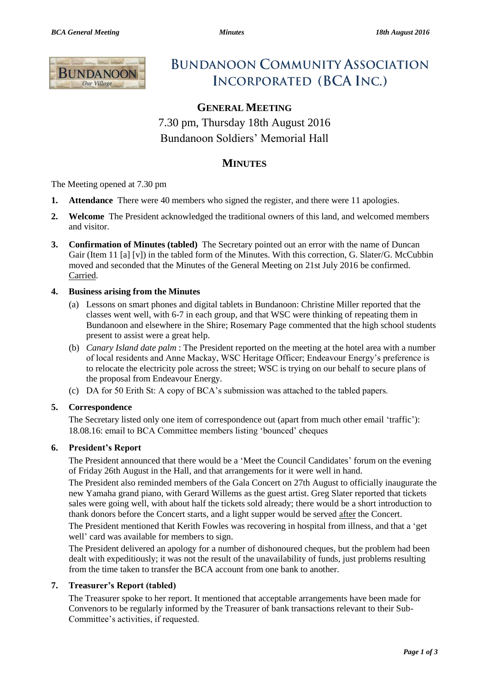

# **BUNDANOON COMMUNITY ASSOCIATION INCORPORATED (BCA INC.)**

# **GENERAL MEETING**

7.30 pm, Thursday 18th August 2016 Bundanoon Soldiers' Memorial Hall

# **MINUTES**

The Meeting opened at 7.30 pm

- **1. Attendance** There were 40 members who signed the register, and there were 11 apologies.
- **2. Welcome** The President acknowledged the traditional owners of this land, and welcomed members and visitor.
- **3. Confirmation of Minutes (tabled)** The Secretary pointed out an error with the name of Duncan Gair (Item 11 [a] [v]) in the tabled form of the Minutes. With this correction, G. Slater/G. McCubbin moved and seconded that the Minutes of the General Meeting on 21st July 2016 be confirmed. Carried.

## **4. Business arising from the Minutes**

- (a) Lessons on smart phones and digital tablets in Bundanoon: Christine Miller reported that the classes went well, with 6-7 in each group, and that WSC were thinking of repeating them in Bundanoon and elsewhere in the Shire; Rosemary Page commented that the high school students present to assist were a great help.
- (b) *Canary Island date palm* : The President reported on the meeting at the hotel area with a number of local residents and Anne Mackay, WSC Heritage Officer; Endeavour Energy's preference is to relocate the electricity pole across the street; WSC is trying on our behalf to secure plans of the proposal from Endeavour Energy.
- (c) DA for 50 Erith St: A copy of BCA's submission was attached to the tabled papers.

## **5. Correspondence**

The Secretary listed only one item of correspondence out (apart from much other email 'traffic'): 18.08.16: email to BCA Committee members listing 'bounced' cheques

#### **6. President's Report**

The President announced that there would be a 'Meet the Council Candidates' forum on the evening of Friday 26th August in the Hall, and that arrangements for it were well in hand.

The President also reminded members of the Gala Concert on 27th August to officially inaugurate the new Yamaha grand piano, with Gerard Willems as the guest artist. Greg Slater reported that tickets sales were going well, with about half the tickets sold already; there would be a short introduction to thank donors before the Concert starts, and a light supper would be served after the Concert.

The President mentioned that Kerith Fowles was recovering in hospital from illness, and that a 'get well' card was available for members to sign.

The President delivered an apology for a number of dishonoured cheques, but the problem had been dealt with expeditiously; it was not the result of the unavailability of funds, just problems resulting from the time taken to transfer the BCA account from one bank to another.

#### **7. Treasurer's Report (tabled)**

The Treasurer spoke to her report. It mentioned that acceptable arrangements have been made for Convenors to be regularly informed by the Treasurer of bank transactions relevant to their Sub-Committee's activities, if requested.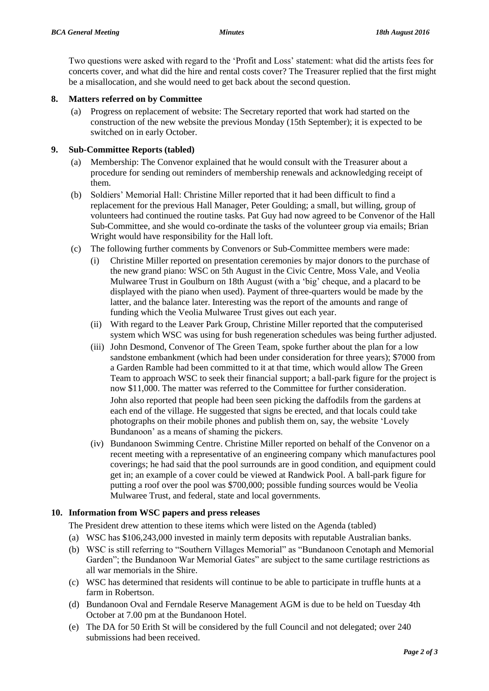Two questions were asked with regard to the 'Profit and Loss' statement: what did the artists fees for concerts cover, and what did the hire and rental costs cover? The Treasurer replied that the first might be a misallocation, and she would need to get back about the second question.

#### **8. Matters referred on by Committee**

(a) Progress on replacement of website: The Secretary reported that work had started on the construction of the new website the previous Monday (15th September); it is expected to be switched on in early October.

#### **9. Sub-Committee Reports (tabled)**

- (a) Membership: The Convenor explained that he would consult with the Treasurer about a procedure for sending out reminders of membership renewals and acknowledging receipt of them.
- (b) Soldiers' Memorial Hall: Christine Miller reported that it had been difficult to find a replacement for the previous Hall Manager, Peter Goulding; a small, but willing, group of volunteers had continued the routine tasks. Pat Guy had now agreed to be Convenor of the Hall Sub-Committee, and she would co-ordinate the tasks of the volunteer group via emails; Brian Wright would have responsibility for the Hall loft.
- (c) The following further comments by Convenors or Sub-Committee members were made:
	- (i) Christine Miller reported on presentation ceremonies by major donors to the purchase of the new grand piano: WSC on 5th August in the Civic Centre, Moss Vale, and Veolia Mulwaree Trust in Goulburn on 18th August (with a 'big' cheque, and a placard to be displayed with the piano when used). Payment of three-quarters would be made by the latter, and the balance later. Interesting was the report of the amounts and range of funding which the Veolia Mulwaree Trust gives out each year.
	- (ii) With regard to the Leaver Park Group, Christine Miller reported that the computerised system which WSC was using for bush regeneration schedules was being further adjusted.
	- (iii) John Desmond, Convenor of The Green Team, spoke further about the plan for a low sandstone embankment (which had been under consideration for three years); \$7000 from a Garden Ramble had been committed to it at that time, which would allow The Green Team to approach WSC to seek their financial support; a ball-park figure for the project is now \$11,000. The matter was referred to the Committee for further consideration.

John also reported that people had been seen picking the daffodils from the gardens at each end of the village. He suggested that signs be erected, and that locals could take photographs on their mobile phones and publish them on, say, the website 'Lovely Bundanoon' as a means of shaming the pickers.

(iv) Bundanoon Swimming Centre. Christine Miller reported on behalf of the Convenor on a recent meeting with a representative of an engineering company which manufactures pool coverings; he had said that the pool surrounds are in good condition, and equipment could get in; an example of a cover could be viewed at Randwick Pool. A ball-park figure for putting a roof over the pool was \$700,000; possible funding sources would be Veolia Mulwaree Trust, and federal, state and local governments.

#### **10. Information from WSC papers and press releases**

The President drew attention to these items which were listed on the Agenda (tabled)

- (a) WSC has \$106,243,000 invested in mainly term deposits with reputable Australian banks.
- (b) WSC is still referring to "Southern Villages Memorial" as "Bundanoon Cenotaph and Memorial Garden"; the Bundanoon War Memorial Gates" are subject to the same curtilage restrictions as all war memorials in the Shire.
- (c) WSC has determined that residents will continue to be able to participate in truffle hunts at a farm in Robertson.
- (d) Bundanoon Oval and Ferndale Reserve Management AGM is due to be held on Tuesday 4th October at 7.00 pm at the Bundanoon Hotel.
- (e) The DA for 50 Erith St will be considered by the full Council and not delegated; over 240 submissions had been received.